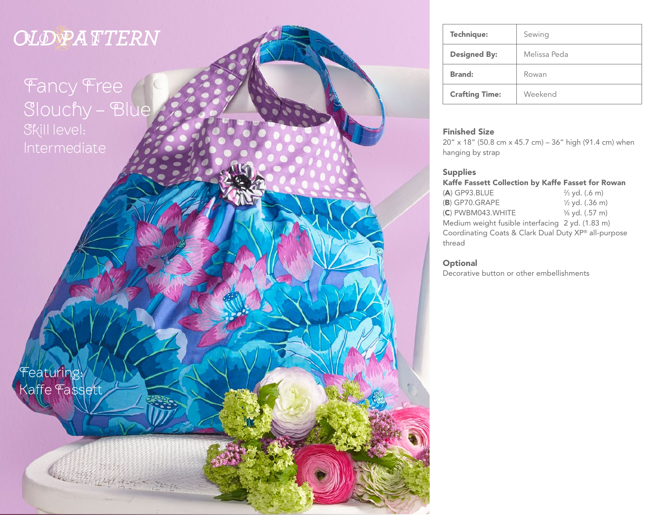# *OLD PATTERN*

Fancy Free Slouchy - Blue Skill level:

| 'featuring:   |  |  |
|---------------|--|--|
| Kaffe Fassett |  |  |

Copyright Control 2015

| Technique:            | Sewing       |
|-----------------------|--------------|
| <b>Designed By:</b>   | Melissa Peda |
| <b>Brand:</b>         | Rowan        |
| <b>Crafting Time:</b> | Weekend      |

### Finished Size

20" x 18" (50.8 cm x 45.7 cm) – 36" high (91.4 cm) when hanging by strap

### **Supplies**

| Kaffe Fassett Collection by Kaffe Fasset for Rowan |  |  |  |  |  |
|----------------------------------------------------|--|--|--|--|--|
|----------------------------------------------------|--|--|--|--|--|

| $(A)$ GP93.BLUE                                      | $\frac{2}{3}$ yd. (.6 m)  |  |  |  |
|------------------------------------------------------|---------------------------|--|--|--|
| (B) GP70.GRAPE                                       | $\frac{1}{2}$ yd. (.36 m) |  |  |  |
| (C) PWBM043.WHITE                                    | % yd. (.57 m)             |  |  |  |
| Medium weight fusible interfacing 2 yd. (1.83 m)     |                           |  |  |  |
| Coordinating Coats & Clark Dual Duty XP® all-purpose |                           |  |  |  |
| thread                                               |                           |  |  |  |

### **Optional**

Decorative button or other embellishments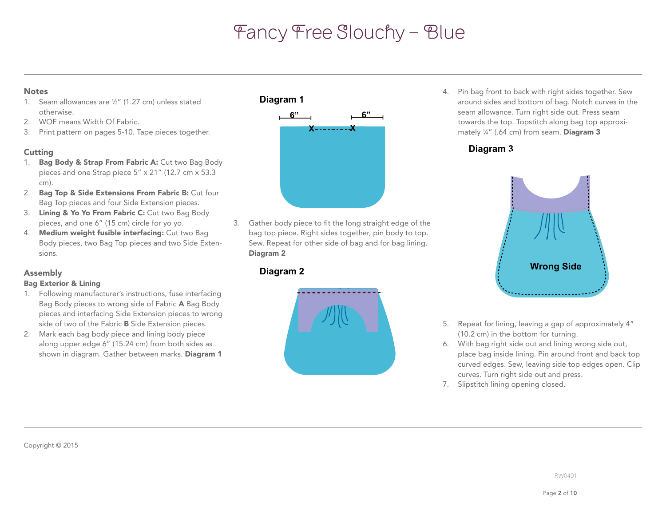### **Notes**

- 1. Seam allowances are 1 ⁄2" (1.27 cm) unless stated otherwise.
- 2. WOF means Width Of Fabric.
- 3. Print pattern on pages 5-10. Tape pieces together.

### **Cutting**

- 1. Bag Body & Strap From Fabric A: Cut two Bag Body pieces and one Strap piece 5" x 21" (12.7 cm x 53.3 cm).
- 2. Bag Top & Side Extensions From Fabric B: Cut four Bag Top pieces and four Side Extension pieces.
- 3. Lining & Yo Yo From Fabric C: Cut two Bag Body pieces, and one 6" (15 cm) circle for yo yo.
- 4. Medium weight fusible interfacing: Cut two Bag Body pieces, two Bag Top pieces and two Side Extensions.

### Assembly

### Bag Exterior & Lining

- 1. Following manufacturer's instructions, fuse interfacing Bag Body pieces to wrong side of Fabric A Bag Body pieces and interfacing Side Extension pieces to wrong side of two of the Fabric B Side Extension pieces.
- 2. Mark each bag body piece and lining body piece along upper edge 6" (15.24 cm) from both sides as shown in diagram. Gather between marks. Diagram 1



**Diagram 2** bag top piece. Right sides together, pin body to top. 3. Gather body piece to fit the long straight edge of the Sew. Repeat for other side of bag and for bag lining. Diagram 2

### **Diagram 2**



**Colorway 1** around sides and bottom of bag. Notch curves in the towards the top. Topstitch along bag top approximately ¼" (.64 cm) from seam. **Diagram 3** 4. Pin bag front to back with right sides together. Sew seam allowance. Turn right side out. Press seam

**Fancy Free Floppy Bag**

### **Diagram 3**



- 5. Repeat for lining, leaving a gap of approximately 4" (10.2 cm) in the bottom for turning.
- 6. With bag right side out and lining wrong side out, place bag inside lining. Pin around front and back top curved edges. Sew, leaving side top edges open. Clip curves. Turn right side out and press.
- 7. Slipstitch lining opening closed.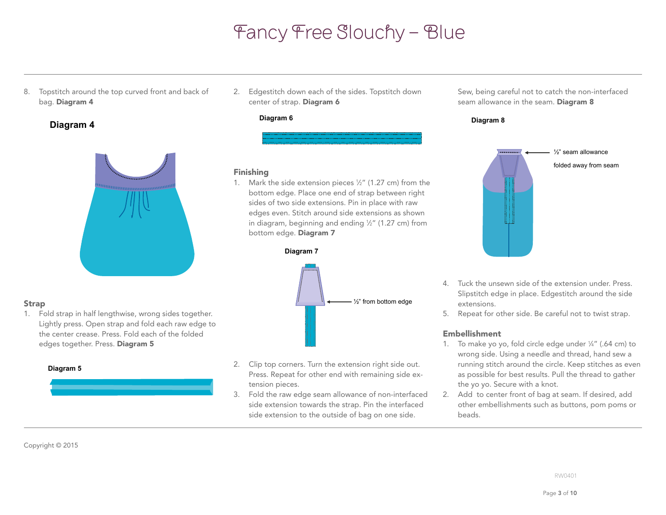8. Topstitch around the top curved front and back of bag. Diagram 4

### **Diagram 4**



1. Fold strap in half lengthwise, wrong sides together. Lightly press. Open strap and fold each raw edge to 2. Edgestitch down each of the sides. Topstitch down center of strap. Diagram 6

#### **Diagram 6**

**Diagram 5**

### **Diagram 7** Finishing

in diagram, beginning and ending 1/2" (1.27 cm) from 1. Mark the side extension pieces  $\frac{1}{2}$ " (1.27 cm) from the bottom edge. Place one end of strap between right sides of two side extensions. Pin in place with raw **Diagram 6** edges even. Stitch around side extensions as shown bottom edge. Diagram 7



the center crease. Press. Fold each of the folded edges together. Press. Diagram 5

Strap

### **Diagram 5**

- **Diagram 8** 2. Clip top corners. Turn the extension right side out. Press. Repeat for other end with remaining side extension pieces.
- 3. Fold the raw edge seam allowance of non-interfaced side extension towards the strap. Pin the interfaced side extension to the outside of bag on one side.

Sew, being careful not to catch the non-interfaced seam allowance in the seam. Diagram 8

#### **Diagram 8**



- 4. Tuck the unsewn side of the extension under. Press. Slipstitch edge in place. Edgestitch around the side extensions.
- 5. Repeat for other side. Be careful not to twist strap.

### Embellishment

- 1. To make yo yo, fold circle edge under 1 ⁄4" (.64 cm) to wrong side. Using a needle and thread, hand sew a running stitch around the circle. Keep stitches as even as possible for best results. Pull the thread to gather the yo yo. Secure with a knot.
- other embellishments such as buttons, pom poms or<br>' 2. Add to center front of bag at seam. If desired, add beads.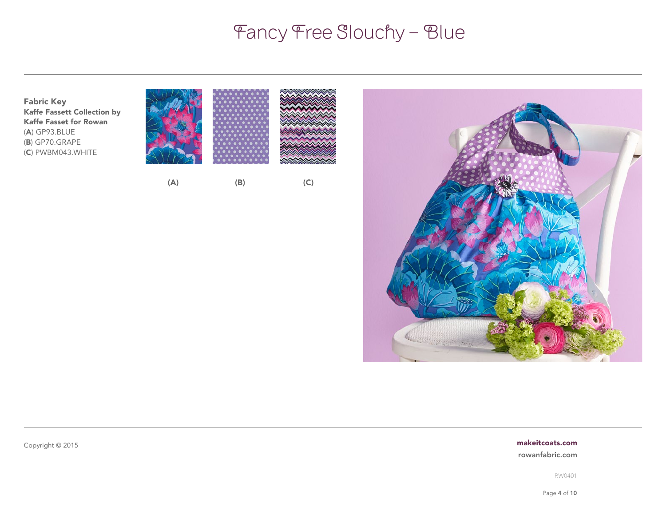

#### [makeitcoats.com](http://www.makeitcoats.com)

an<br>Waqean ya

[rowanfabric.com](http://www.rowanfabric.com)

RW0401

Page 4 of 10

Copyright © 2015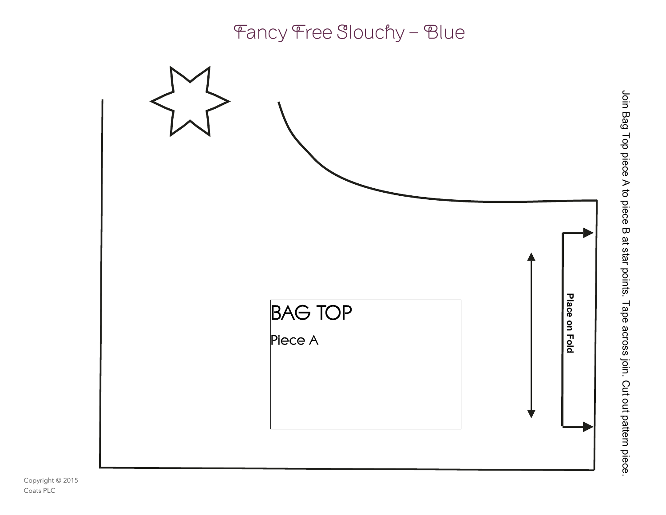

Join Bag Top piece A to piece B at star points. Tape across join. Cut out pattern piece.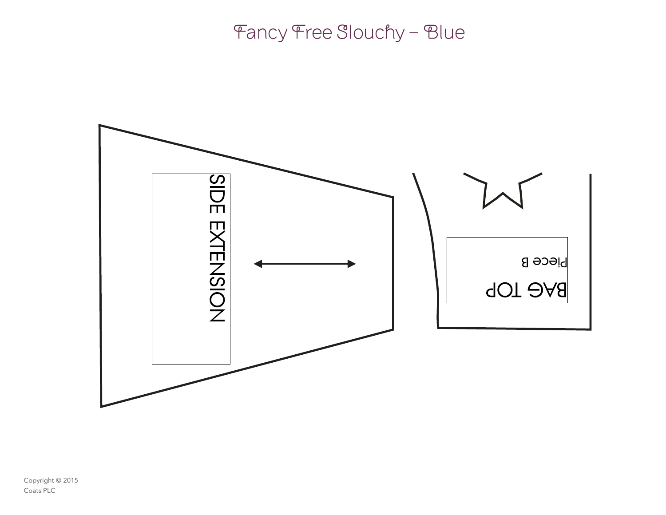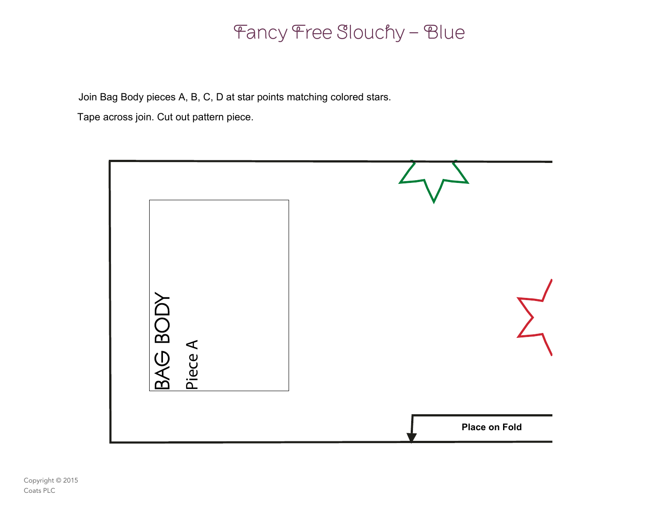Join Bag Body pieces A, B, C, D at star points matching colored stars.

Tape across join. Cut out pattern piece.

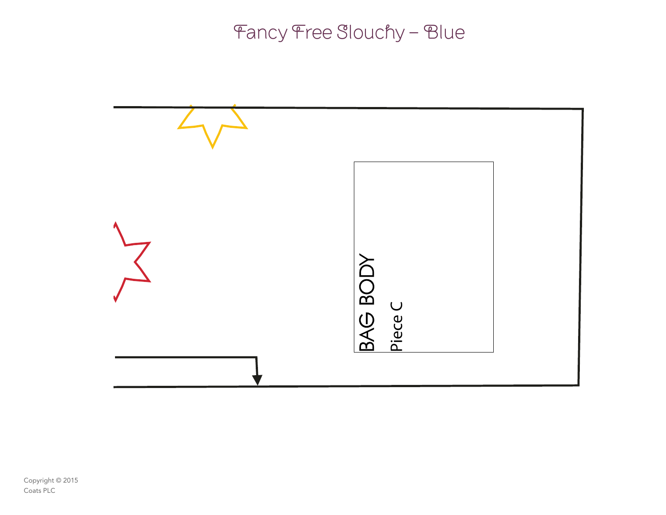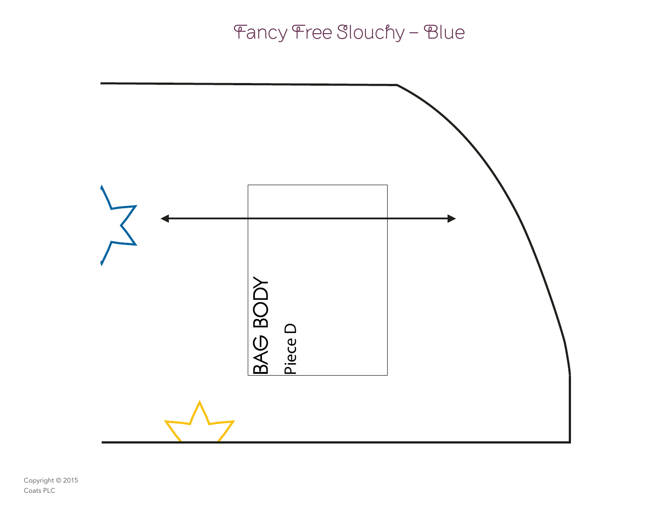